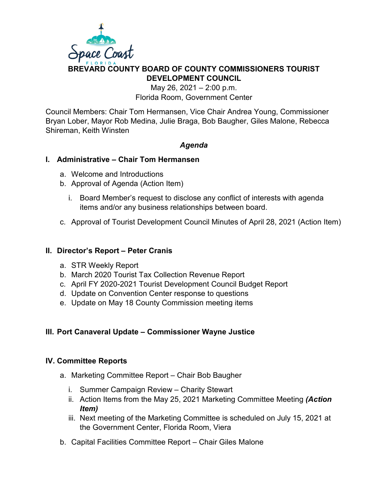

# **BREVARD COUNTY BOARD OF COUNTY COMMISSIONERS TOURIST DEVELOPMENT COUNCIL**

May 26, 2021 – 2:00 p.m. Florida Room, Government Center

Council Members: Chair Tom Hermansen, Vice Chair Andrea Young, Commissioner Bryan Lober, Mayor Rob Medina, Julie Braga, Bob Baugher, Giles Malone, Rebecca Shireman, Keith Winsten

# *Agenda*

#### **I. Administrative – Chair Tom Hermansen**

- a. Welcome and Introductions
- b. Approval of Agenda (Action Item)
	- i. Board Member's request to disclose any conflict of interests with agenda items and/or any business relationships between board.
- c. Approval of Tourist Development Council Minutes of April 28, 2021 (Action Item)

#### **II. Director's Report – Peter Cranis**

- a. STR Weekly Report
- b. March 2020 Tourist Tax Collection Revenue Report
- c. April FY 2020-2021 Tourist Development Council Budget Report
- d. Update on Convention Center response to questions
- e. Update on May 18 County Commission meeting items

# **III. Port Canaveral Update – Commissioner Wayne Justice**

#### **IV. Committee Reports**

- a. Marketing Committee Report Chair Bob Baugher
	- i. Summer Campaign Review Charity Stewart
	- ii. Action Items from the May 25, 2021 Marketing Committee Meeting *(Action Item)*
	- iii. Next meeting of the Marketing Committee is scheduled on July 15, 2021 at the Government Center, Florida Room, Viera
- b. Capital Facilities Committee Report Chair Giles Malone